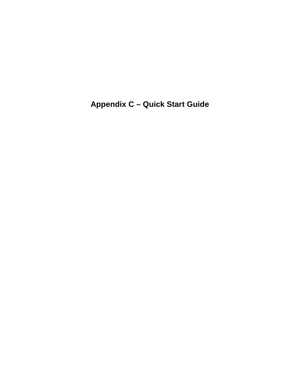**Appendix C – Quick Start Guide**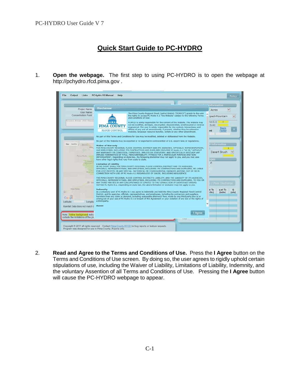## **Quick Start Guide to PC-HYDRO**

1. **Open the webpage.** The first step to using PC-HYDRO is to open the webpage at http://pchydro.rfcd.pima.gov .

|                                                                                                        |                                                                                                                       |                                                                                                                                                                                                                                                                                                                                                                                                                                                                                                                                                                                                                                                                                                                                                                                                                                                                                                                                                                                                                                                                                               |                          | nformation                                                |              |
|--------------------------------------------------------------------------------------------------------|-----------------------------------------------------------------------------------------------------------------------|-----------------------------------------------------------------------------------------------------------------------------------------------------------------------------------------------------------------------------------------------------------------------------------------------------------------------------------------------------------------------------------------------------------------------------------------------------------------------------------------------------------------------------------------------------------------------------------------------------------------------------------------------------------------------------------------------------------------------------------------------------------------------------------------------------------------------------------------------------------------------------------------------------------------------------------------------------------------------------------------------------------------------------------------------------------------------------------------------|--------------------------|-----------------------------------------------------------|--------------|
| Project Name                                                                                           | <b>Disclaimer</b>                                                                                                     |                                                                                                                                                                                                                                                                                                                                                                                                                                                                                                                                                                                                                                                                                                                                                                                                                                                                                                                                                                                                                                                                                               | Acres                    |                                                           | $\checkmark$ |
| User Name:<br><b>Concentration Point</b><br>Froject Hotes (450 Charas                                  | <b>PIMA COUNTY</b><br><b>FLOOD CONTROL</b>                                                                            | The Pima County Regional Flood Control District ("PCRFCD") grants to the user<br>the rights to access PC Hydro 6.1 "the Website" subject to the following Terms<br>and Conditions of Use:<br>PCRFCD is solely responsible for the content of the Website. The Website may<br>not be modified, abridged, decompiled, disassembled, unobfuscated or reverse<br>engineered. The user is solely responsible for the content, interactions, and<br>effects of any and all amendments, if present, whether they be extension<br>modules, language resource bundles, scripts or any other amendment.                                                                                                                                                                                                                                                                                                                                                                                                                                                                                                 | rse (Lc)<br>(Lea)<br>int | pped-Mountain<br>$\overline{0}$<br><b>Basin</b><br>Factor | $\checkmark$ |
| Map Satellite y Marana<br>Rainto<br><b>Picture Rocks</b><br>Saguard<br>National P.<br>Tucs<br>Mountail | <b>Waiver of Warranty</b><br>have other legal rights that vary from state to state.<br><b>Limitation of Liability</b> | No part of this Terms and Conditions for Use may be modified, deleted or obliterated from the Website.<br>No part of the Website may be exported or re-exported in contravention of U.S. export laws or regulations.<br>THE PIMA COUNTY REGIONAL FLOOD CONTROL DISTRICT AND ITS AGENCIES, OFFICIALS, REPRESENTATIVES,<br>AND EMPLOYEES, INCLUDING ITS CONTRACTORS AND SUPPLIERS PROVIDE PC Hydro 6.1 "AS IS," WITHOUT<br>ANY WARRANTY OR CONDITION, EXPRESSED, IMPLIED OR STATUTORY, AND SPECIFICALLY DISCLAIM ANY<br>IMPLIED WARRANTIES OF TITLE, MERCHANTABILITY, FITNESS FOR A PARTICULAR PURPOSE AND NON-<br>INFRINGEMENT. Depending on state law, the foregoing disclaimer may not apply to you, and you may also<br>IN NO EVENT SHALL THE PIMA COUNTY REGIONAL FLOOD CONTROL DISTRICT AND ITS AGENCIES,<br>OFFICIALS, REPRESENTATIVES, AND EMPLOYEES, INCLUDING ITS CONTRACTORS AND SUPPLIERS, BE LIABLE<br>FOR LOST PROFITS OR ANY SPECIAL, INCIDENTAL OR CONSEQUENTIAL DAMAGES ARISING OUT OF OR IN<br>CONNECTION WITH USE OF PC Hydro 6.1 REGARDLESS OF CAUSE, INCLUDING NEGLIGENCE. | ypes<br>C                | il Information<br>Desert Brush                            |              |
| $(36)$ Vale                                                                                            |                                                                                                                       | THE PIMA COUNTY REGIONAL FLOOD CONTROL DISTRICT'S LIABILITY, AND THE LIABILITY OF ITS AGENCIES,<br>OFFICIALS, REPRESENTATIVES, AND EMPLOYEES, INCLUDING ITS CONTRACTORS AND SUPPLIERS, TO YOU OR<br>ANY THIRD PARTIES IN ANY CIRCUMSTANCE IS LIMITED TO THE CORRECTION OF IDENTIFIED ERRORS<br>WITHIN PC Hydro 6.1. Depending on state law, the above limitation or exclusion may not apply to you.                                                                                                                                                                                                                                                                                                                                                                                                                                                                                                                                                                                                                                                                                           |                          | <b>/ Peak Discharge</b>                                   |              |
| <b>Three Points</b><br>$\mathbb{R}$<br>Google<br>Latitude<br>Longitu                                   | <b>Indemnity</b><br>a third party.                                                                                    | As a voluntary user of PC Hydro 6.1 you agree to indemnify and hold the Pima County Regional Flood Control<br>District, and its agencies, officials, representatives, and employees, including its contractors and suppliers,<br>harmless from any claim or demand, including reasonable attorneys' fees, made by any third party due to or<br>arising out of your use of PC Hydro 6.1 or breach of this Agreement or your violation of any law or the rights of                                                                                                                                                                                                                                                                                                                                                                                                                                                                                                                                                                                                                              | It Tc<br>1/hr            | q at Tc<br>(in/hr)                                        | (cfs)        |
| Rainfall Data does not match I<br>Note: Yellow background indic-<br>outside the limitations of the pro | <b>Assent</b>                                                                                                         | I Agree<br><b>TUUU</b>                                                                                                                                                                                                                                                                                                                                                                                                                                                                                                                                                                                                                                                                                                                                                                                                                                                                                                                                                                                                                                                                        |                          |                                                           |              |

2. **Read and Agree to the Terms and Conditions of Use.** Press the **I Agree** button on the Terms and Conditions of Use screen. By doing so, the user agrees to rigidly uphold certain stipulations of use, including the Waiver of Liability, Limitations of Liability, Indemnity, and the voluntary Assention of all Terms and Conditions of Use. Pressing the **I Agree** button will cause the PC-HYDRO webpage to appear.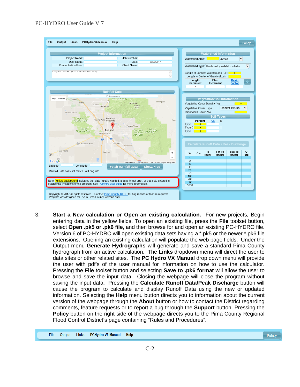

3. **Start a New calculation or Open an existing calculation.** For new projects, Begin entering data in the yellow fields. To open an existing file, press the **File** toolset button, select **Open .pk5 or .pk6 file**, and then browse for and open an existing PC-HYDRO file. Version 6 of PC-HYDRO will open existing data sets having a \*.pk5 or the newer \*.pk6 file extensions. Opening an existing calculation will populate the web page fields. Under the Output menu **Generate Hydrographs** will generate and save a standard Pima County hydrograph from an active calculation. The **Links** dropdown menu will direct the user to data sites or other related sites. The **PC Hydro VX Manual** drop down menu will provide the user with pdf's of the user manual for information on how to use the calculator. Pressing the **File** toolset button and selecting **Save to .pk6 format** will allow the user to browse and save the input data. Closing the webpage will close the program without saving the input data. Pressing the **Calculate Runoff Data/Peak Discharge** button will cause the program to calculate and display Runoff Data using the new or updated information. Selecting the **Help** menu button directs you to information about the current version of the webpage through the **About** button or how to contact the District regarding comments, feature requests or to report a bug through the **Support** button. Pressing the **Policy** button on the right side of the webpage directs you to the Pima County Regional Flood Control District's page containing "Rules and Procedures".

File Output Links **PCHydro V5 Manual** Help

Policy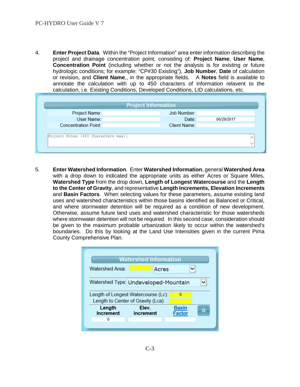4. **Enter Project Data**. Within the "Project Information" area enter information describing the project and drainage concentration point, consisting of: **Project Name**, **User Name**, **Concentration Point** (including whether or not the analysis is for existing or future hydrologic conditions; for example: "CP#30 Existing"), **Job Number**, **Date** of calculation or revision, and **Client Name**,, in the appropriate fields. A **Notes** field is available to annotate the calculation with up to 450 characters of information relavent to the calculation, i.e. Existing Conditions, Developed Conditions, LID calculations, etc.

| <b>Project Information</b>          |              |            |  |  |  |
|-------------------------------------|--------------|------------|--|--|--|
| Project Name:                       | Job Number:  |            |  |  |  |
| User Name:                          | Date:        | 06/29/2017 |  |  |  |
| Concentration Point:                | Client Name: |            |  |  |  |
| Project Notes (450 Characters max): |              |            |  |  |  |

5. **Enter Watershed Information**. Enter **Watershed Information**, general **Watershed Area** with a drop down to indicated the appropriate units as either Acres or Square Miles, **Watershed Type** from the drop down, **Length of Longest Watercourse** and the **Length to the Center of Gravity**, and representative **Length Increments, Elevation Increments** and **Basin Factors**. When selecting values for these parameters, assume existing land uses and watershed characteristics within those basins identified as Balanced or Critical, and where stormwater detention will be required as a condition of new development. Otherwise, assume future land uses and watershed characteristic for those watersheds where stormwater detention will not be required. In this second case, consideration should be given to the maximum probable urbanization likely to occur within the watershed's boundaries. Do this by looking at the Land Use Intensities given in the current Pima County Comprehensive Plan.

|                     | <b>Watershed Information</b>         |                 |    |
|---------------------|--------------------------------------|-----------------|----|
| Watershed Area:     | Acres                                |                 |    |
|                     | Watershed Type: Undeveloped-Mountain |                 | v  |
|                     | Length of Longest Watercourse (Lc):  |                 |    |
|                     | Length to Center of Gravity (Lca):   |                 |    |
| Length<br>Increment | Elev.<br>Increment                   | Basin<br>Factor | c. |
|                     |                                      |                 |    |
|                     |                                      |                 |    |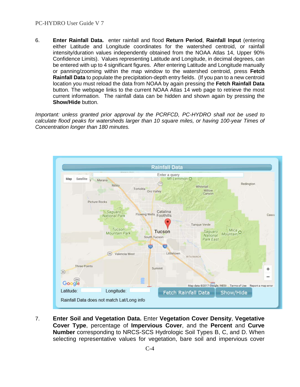6. **Enter Rainfall Data.** enter rainfall and flood **Return Period**, **Rainfall Input** (entering either Latitude and Longitude coordinates for the watershed centroid, or rainfall intensity/duration values independently obtained from the NOAA Atlas 14, Upper 90% Confidence Limits). Values representing Latitude and Longitude, in decimal degrees, can be entered with up to 4 significant figures. After entering Latitude and Longitude manually or panning/zooming within the map window to the watershed centroid, press **Fetch Rainfall Data** to populate the precipitation-depth entry fields. (If you pan to a new centroid location you must reload the data from NOAA by again pressing the **Fetch Rainfall Data** button. The webpage links to the current NOAA Atlas 14 web page to retrieve the most current information. The rainfall data can be hidden and shown again by pressing the **Show/Hide** button.

*Important: unless granted prior approval by the PCRFCD, PC-HYDRO shall not be used to calculate flood peaks for watersheds larger than 10 square miles, or having 100-year Times of Concentration longer than 180 minutes.*



7. **Enter Soil and Vegetation Data.** Enter **Vegetation Cover Density**, **Vegetative Cover Type**, percentage of **Impervious Cover**, and the **Percent** and **Curve Number** corresponding to NRCS-SCS Hydrologic Soil Types B, C, and D. When selecting representative values for vegetation, bare soil and impervious cover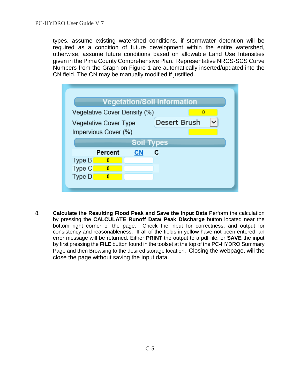types, assume existing watershed conditions, if stormwater detention will be required as a condition of future development within the entire watershed, otherwise, assume future conditions based on allowable Land Use Intensities given in the Pima County Comprehensive Plan. Representative NRCS-SCS Curve Numbers from the Graph on Figure 1 are automatically inserted/updated into the CN field. The CN may be manually modified if justified.

|                              |         |    | <b>Vegetation/Soil Information</b> |              |              |
|------------------------------|---------|----|------------------------------------|--------------|--------------|
| Vegetative Cover Density (%) |         |    |                                    | 0            |              |
| Vegetative Cover Type        |         |    |                                    | Desert Brush | $\checkmark$ |
| Impervious Cover (%)         |         |    |                                    |              |              |
|                              |         |    | <b>Soil Types</b>                  |              |              |
|                              | Percent | CΝ | C                                  |              |              |
| Type B                       |         |    |                                    |              |              |
| Type C                       | 0       |    |                                    |              |              |
| Type D                       | n       |    |                                    |              |              |
|                              |         |    |                                    |              |              |

8. **Calculate the Resulting Flood Peak and Save the Input Data** Perform the calculation by pressing the **CALCULATE Runoff Data/ Peak Discharge** button located near the bottom right corner of the page. Check the input for correctness, and output for consistency and reasonableness. If all of the fields in yellow have not been entered, an error message will be returned. Either **PRINT** the output to a pdf file, or **SAVE** the input by first pressing the **FILE** button found in the toolset at the top of the PC-HYDRO Summary Page and then Browsing to the desired storage location. Closing the webpage, will the close the page without saving the input data.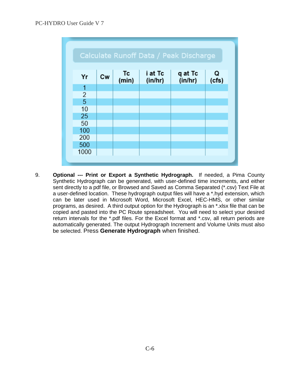|                |    |             |                    | Calculate Runoff Data / Peak Discharge |            |
|----------------|----|-------------|--------------------|----------------------------------------|------------|
| Yr             | Cw | Tc<br>(min) | i at Tc<br>(in/hr) | q at Tc<br>(in/hr)                     | Q<br>(cfs) |
| 1              |    |             |                    |                                        |            |
| $\overline{2}$ |    |             |                    |                                        |            |
| 5              |    |             |                    |                                        |            |
| 10             |    |             |                    |                                        |            |
| 25             |    |             |                    |                                        |            |
| 50             |    |             |                    |                                        |            |
| 100            |    |             |                    |                                        |            |
| 200            |    |             |                    |                                        |            |
| 500            |    |             |                    |                                        |            |
| 1000           |    |             |                    |                                        |            |
|                |    |             |                    |                                        |            |

9. **Optional --- Print or Export a Synthetic Hydrograph.** If needed, a Pima County Synthetic Hydrograph can be generated, with user-defined time increments, and either sent directly to a pdf file, or Browsed and Saved as Comma Separated (\*.csv) Text File at a user-defined location. These hydrograph output files will have a \*.hyd extension, which can be later used in Microsoft Word, Microsoft Excel, HEC-HMS, or other similar programs, as desired. A third output option for the Hydrograph is an \*.xlsx file that can be copied and pasted into the PC Route spreadsheet. You will need to select your desired return intervals for the \*.pdf files. For the Excel format and \*.csv, all return periods are automatically generated. The output Hydrograph Increment and Volume Units must also be selected. Press **Generate Hydrograph** when finished.